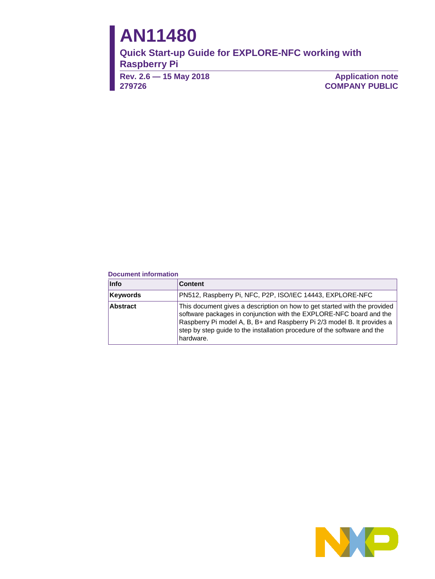# **AN11480**

**Quick Start-up Guide for EXPLORE-NFC working with Raspberry Pi**

**Rev. 2.6 — 15 May 2018 279726**

**Application note COMPANY PUBLIC**

#### **Document information**

| <b>Info</b>     | <b>Content</b>                                                                                                                                                                                                                                                                                                       |  |
|-----------------|----------------------------------------------------------------------------------------------------------------------------------------------------------------------------------------------------------------------------------------------------------------------------------------------------------------------|--|
| Keywords        | PN512, Raspberry Pi, NFC, P2P, ISO/IEC 14443, EXPLORE-NFC                                                                                                                                                                                                                                                            |  |
| <b>Abstract</b> | This document gives a description on how to get started with the provided<br>software packages in conjunction with the EXPLORE-NFC board and the<br>Raspberry Pi model A, B, B+ and Raspberry Pi 2/3 model B. It provides a<br>step by step guide to the installation procedure of the software and the<br>hardware. |  |

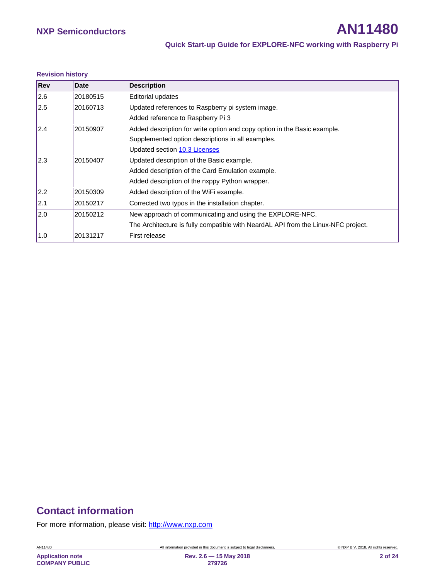#### **Revision history**

| Rev | Date     | <b>Description</b>                                                                |
|-----|----------|-----------------------------------------------------------------------------------|
| 2.6 | 20180515 | Editorial updates                                                                 |
| 2.5 | 20160713 | Updated references to Raspberry pi system image.                                  |
|     |          | Added reference to Raspberry Pi 3                                                 |
| 2.4 | 20150907 | Added description for write option and copy option in the Basic example.          |
|     |          | Supplemented option descriptions in all examples.                                 |
|     |          | Updated section 10.3 Licenses                                                     |
| 2.3 | 20150407 | Updated description of the Basic example.                                         |
|     |          | Added description of the Card Emulation example.                                  |
|     |          | Added description of the nxppy Python wrapper.                                    |
| 2.2 | 20150309 | Added description of the WiFi example.                                            |
| 2.1 | 20150217 | Corrected two typos in the installation chapter.                                  |
| 2.0 | 20150212 | New approach of communicating and using the EXPLORE-NFC.                          |
|     |          | The Architecture is fully compatible with NeardAL API from the Linux-NFC project. |
| 1.0 | 20131217 | First release                                                                     |

# **Contact information**

For more information, please visit: [http://www.nxp.com](http://www.nxp.com/)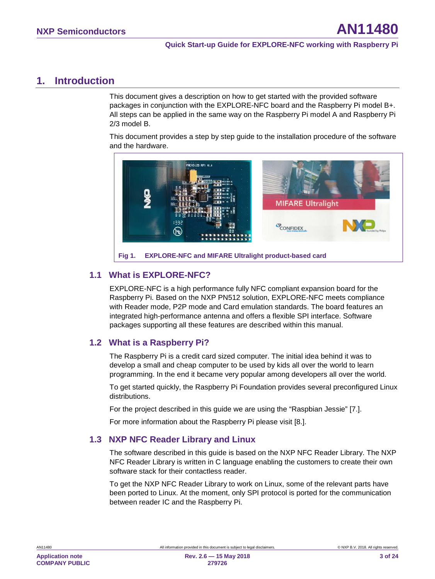## <span id="page-2-1"></span>**1. Introduction**

This document gives a description on how to get started with the provided software packages in conjunction with the EXPLORE-NFC board and the Raspberry Pi model B+. All steps can be applied in the same way on the Raspberry Pi model A and Raspberry Pi 2/3 model B.

This document provides a step by step guide to the installation procedure of the software and the hardware.



#### <span id="page-2-2"></span><span id="page-2-0"></span>**1.1 What is EXPLORE-NFC?**

EXPLORE-NFC is a high performance fully NFC compliant expansion board for the Raspberry Pi. Based on the NXP PN512 solution, EXPLORE-NFC meets compliance with Reader mode, P2P mode and Card emulation standards. The board features an integrated high-performance antenna and offers a flexible SPI interface. Software packages supporting all these features are described within this manual.

## <span id="page-2-3"></span>**1.2 What is a Raspberry Pi?**

The Raspberry Pi is a credit card sized computer. The initial idea behind it was to develop a small and cheap computer to be used by kids all over the world to learn programming. In the end it became very popular among developers all over the world.

To get started quickly, the Raspberry Pi Foundation provides several preconfigured Linux distributions.

For the project described in this guide we are using the "Raspbian Jessie" [\[7.\].](#page-20-0)

<span id="page-2-4"></span>For more information about the Raspberry Pi please visit [\[8.\].](#page-20-1)

#### **1.3 NXP NFC Reader Library and Linux**

The software described in this guide is based on the NXP NFC Reader Library. The NXP NFC Reader Library is written in C language enabling the customers to create their own software stack for their contactless reader.

To get the NXP NFC Reader Library to work on Linux, some of the relevant parts have been ported to Linux. At the moment, only SPI protocol is ported for the communication between reader IC and the Raspberry Pi.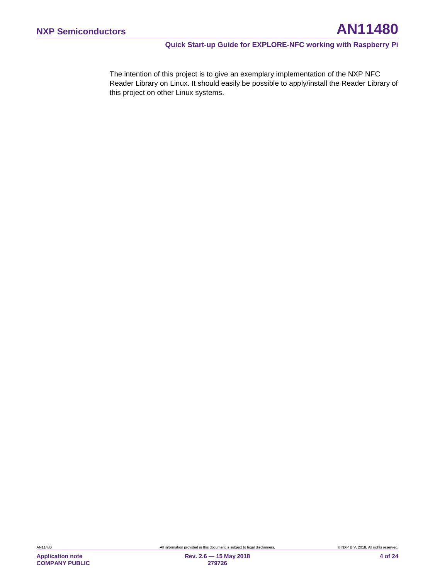The intention of this project is to give an exemplary implementation of the NXP NFC Reader Library on Linux. It should easily be possible to apply/install the Reader Library of this project on other Linux systems.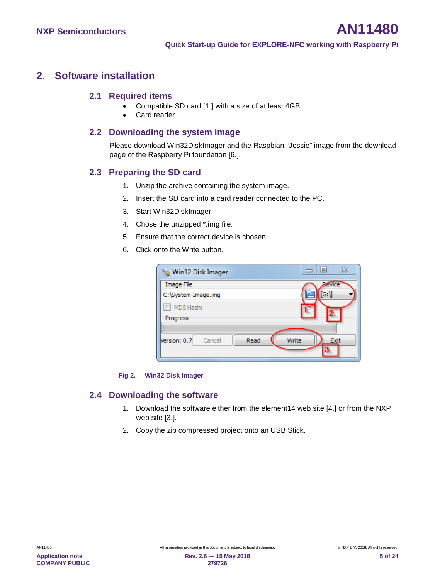## <span id="page-4-1"></span>**2. Software installation**

#### <span id="page-4-2"></span>**2.1 Required items**

- Compatible SD card [\[1.\]](#page-20-2) with a size of at least 4GB.
- <span id="page-4-3"></span>• Card reader

#### **2.2 Downloading the system image**

Please download Win32DiskImager and the Raspbian "Jessie" image from the download page of the Raspberry Pi foundation [\[6.\].](#page-20-3)

#### <span id="page-4-4"></span>**2.3 Preparing the SD card**

- 1. Unzip the archive containing the system image.
- 2. Insert the SD card into a card reader connected to the PC.
- 3. Start Win32DiskImager.
- 4. Chose the unzipped \*.img file.
- 5. Ensure that the correct device is chosen.
- 6. Click onto the Write button.

| Win32 Disk Imager        | $\Sigma$<br>回<br>$\equiv$ |
|--------------------------|---------------------------|
| Image File               | Device                    |
| C:\System-Image.img      | [G: V]                    |
| MD5 Hash:                |                           |
| Progress                 |                           |
|                          |                           |
| Version: 0.7<br>Cancel   | Read<br>Write<br>Exit     |
|                          | ШI                        |
|                          |                           |
| Fig 2. Win32 Disk Imager |                           |

#### <span id="page-4-5"></span>**2.4 Downloading the software**

- <span id="page-4-0"></span>1. Download the software either from the element14 web site [\[4.\]](#page-20-4) or from the NXP web site [\[3.\].](#page-20-5)
- 2. Copy the zip compressed project onto an USB Stick.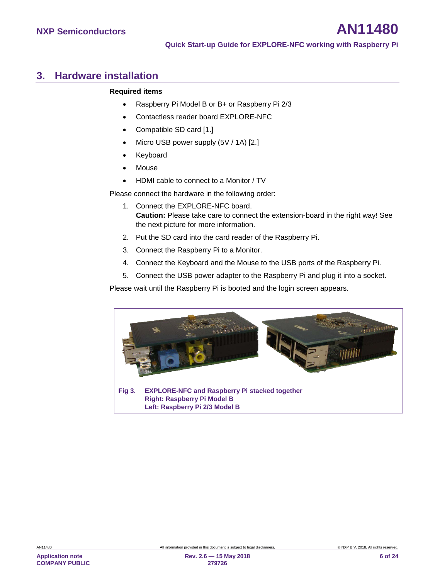## <span id="page-5-1"></span>**3. Hardware installation**

#### **Required items**

- Raspberry Pi Model B or B+ or Raspberry Pi 2/3
- Contactless reader board EXPLORE-NFC
- Compatible SD card [\[1.\]](#page-20-2)
- Micro USB power supply (5V / 1A) [\[2.\]](#page-20-6)
- Keyboard
- Mouse
- HDMI cable to connect to a Monitor / TV

Please connect the hardware in the following order:

- 1. Connect the EXPLORE-NFC board. **Caution:** Please take care to connect the extension-board in the right way! See the next picture for more information.
- 2. Put the SD card into the card reader of the Raspberry Pi.
- 3. Connect the Raspberry Pi to a Monitor.
- 4. Connect the Keyboard and the Mouse to the USB ports of the Raspberry Pi.
- 5. Connect the USB power adapter to the Raspberry Pi and plug it into a socket.

Please wait until the Raspberry Pi is booted and the login screen appears.

<span id="page-5-0"></span>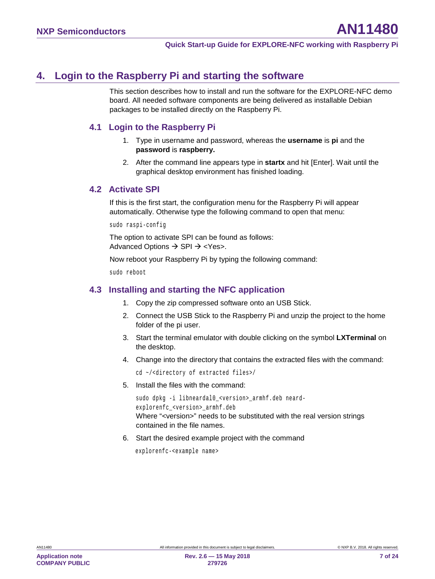# <span id="page-6-0"></span>**4. Login to the Raspberry Pi and starting the software**

This section describes how to install and run the software for the EXPLORE-NFC demo board. All needed software components are being delivered as installable Debian packages to be installed directly on the Raspberry Pi.

## <span id="page-6-1"></span>**4.1 Login to the Raspberry Pi**

- 1. Type in username and password, whereas the **username** is **pi** and the **password** is **raspberry.**
- 2. After the command line appears type in **startx** and hit [Enter]. Wait until the graphical desktop environment has finished loading.

## <span id="page-6-2"></span>**4.2 Activate SPI**

If this is the first start, the configuration menu for the Raspberry Pi will appear automatically. Otherwise type the following command to open that menu:

sudo raspi-config

The option to activate SPI can be found as follows: Advanced Options  $\rightarrow$  SPI  $\rightarrow$  <Yes>.

Now reboot your Raspberry Pi by typing the following command:

<span id="page-6-3"></span>sudo reboot

## **4.3 Installing and starting the NFC application**

- 1. Copy the zip compressed software onto an USB Stick.
- 2. Connect the USB Stick to the Raspberry Pi and unzip the project to the home folder of the pi user.
- 3. Start the terminal emulator with double clicking on the symbol **LXTerminal** on the desktop.
- 4. Change into the directory that contains the extracted files with the command:

cd ~/<directory of extracted files>/

5. Install the files with the command:

```
sudo dpkg -i libneardal0_<version>_armhf.deb neard-
explorenfc_<version>_armhf.deb
Where "<version>" needs to be substituted with the real version strings 
contained in the file names.
```
6. Start the desired example project with the command

explorenfc-<example name>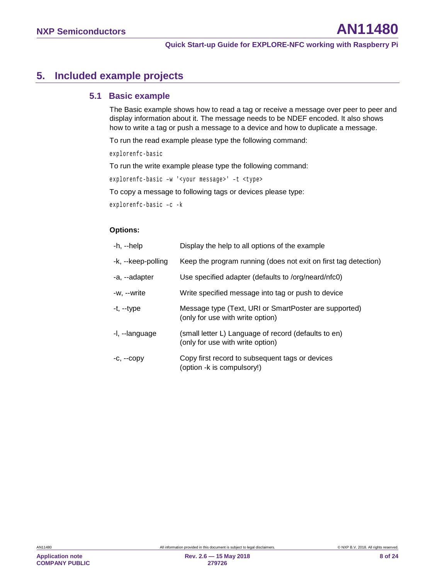# <span id="page-7-0"></span>**5. Included example projects**

## <span id="page-7-1"></span>**5.1 Basic example**

The Basic example shows how to read a tag or receive a message over peer to peer and display information about it. The message needs to be NDEF encoded. It also shows how to write a tag or push a message to a device and how to duplicate a message.

To run the read example please type the following command:

explorenfc-basic

To run the write example please type the following command:

explorenfc-basic –w '<your message>' –t <type>

To copy a message to following tags or devices please type:

```
explorenfc-basic –c -k
```
#### **Options:**

| -h, --help         | Display the help to all options of the example                                            |
|--------------------|-------------------------------------------------------------------------------------------|
| -k, --keep-polling | Keep the program running (does not exit on first tag detection)                           |
| -a, --adapter      | Use specified adapter (defaults to /org/neard/nfc0)                                       |
| -w, --write        | Write specified message into tag or push to device                                        |
| -t, --type         | Message type (Text, URI or SmartPoster are supported)<br>(only for use with write option) |
| -I, --language     | (small letter L) Language of record (defaults to en)<br>(only for use with write option)  |
| $-C, -COPV$        | Copy first record to subsequent tags or devices<br>(option -k is compulsory!)             |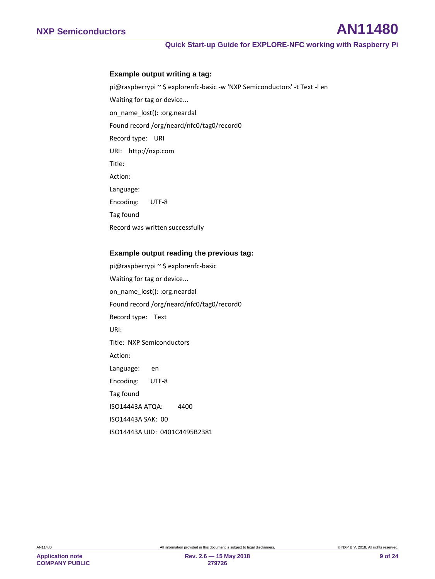#### **Example output writing a tag:**

pi@raspberrypi ~ \$ explorenfc-basic -w 'NXP Semiconductors' -t Text -l en Waiting for tag or device... on\_name\_lost(): :org.neardal Found record /org/neard/nfc0/tag0/record0 Record type: URI URI: http://nxp.com Title: Action: Language: Encoding: UTF-8 Tag found Record was written successfully

#### **Example output reading the previous tag:**

pi@raspberrypi ~ \$ explorenfc-basic Waiting for tag or device... on\_name\_lost(): :org.neardal Found record /org/neard/nfc0/tag0/record0 Record type: Text URI: Title: NXP Semiconductors Action: Language: en Encoding: UTF-8 Tag found ISO14443A ATQA: 4400 ISO14443A SAK: 00 ISO14443A UID: 0401C4495B2381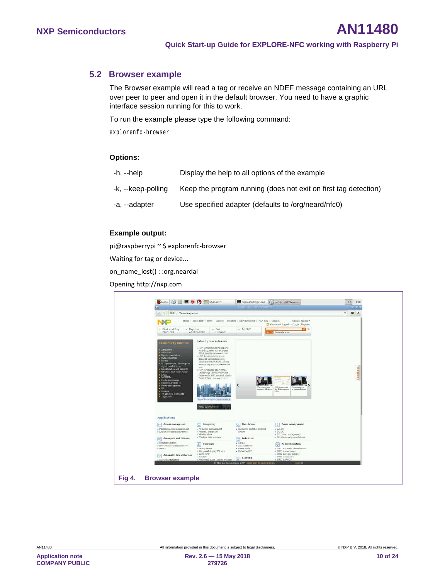#### **5.2 Browser example**

<span id="page-9-1"></span>The Browser example will read a tag or receive an NDEF message containing an URL over peer to peer and open it in the default browser. You need to have a graphic interface session running for this to work.

To run the example please type the following command:

explorenfc-browser

#### **Options:**

| -h, --help         | Display the help to all options of the example                  |
|--------------------|-----------------------------------------------------------------|
| -k, --keep-polling | Keep the program running (does not exit on first tag detection) |
| -a, --adapter      | Use specified adapter (defaults to /org/neard/nfc0)             |

#### **Example output:**

pi@raspberrypi ~ \$ explorenfc-browser

Waiting for tag or device...

on\_name\_lost() : :org.neardal

Opening http://nxp.com

<span id="page-9-0"></span>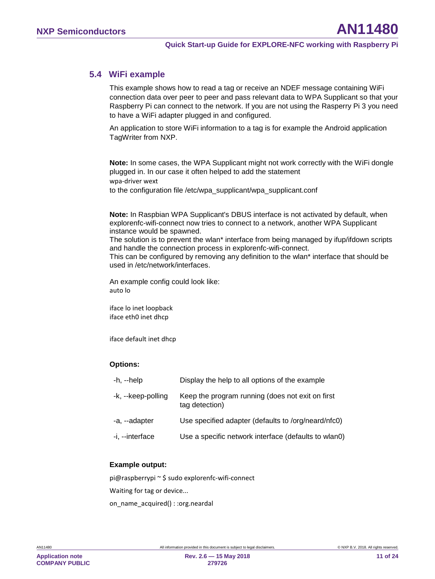## **5.4 WiFi example**

<span id="page-10-0"></span>This example shows how to read a tag or receive an NDEF message containing WiFi connection data over peer to peer and pass relevant data to WPA Supplicant so that your Raspberry Pi can connect to the network. If you are not using the Rasperry Pi 3 you need to have a WiFi adapter plugged in and configured.

An application to store WiFi information to a tag is for example the Android application TagWriter from NXP.

**Note:** In some cases, the WPA Supplicant might not work correctly with the WiFi dongle plugged in. In our case it often helped to add the statement wpa-driver wext to the configuration file /etc/wpa\_supplicant/wpa\_supplicant.conf

**Note:** In Raspbian WPA Supplicant's DBUS interface is not activated by default, when explorenfc-wifi-connect now tries to connect to a network, another WPA Supplicant instance would be spawned.

The solution is to prevent the wlan\* interface from being managed by ifup/ifdown scripts and handle the connection process in explorenfc-wifi-connect.

This can be configured by removing any definition to the wlan\* interface that should be used in /etc/network/interfaces.

An example config could look like: auto lo

iface lo inet loopback iface eth0 inet dhcp

iface default inet dhcp

#### **Options:**

| $-h$ , $-help$     | Display the help to all options of the example                     |
|--------------------|--------------------------------------------------------------------|
| -k, --keep-polling | Keep the program running (does not exit on first<br>tag detection) |
| -a, --adapter      | Use specified adapter (defaults to /org/neard/nfc0)                |
| -i, --interface    | Use a specific network interface (defaults to wlan0)               |

#### **Example output:**

pi@raspberrypi ~ \$ sudo explorenfc-wifi-connect

Waiting for tag or device...

on\_name\_acquired() : :org.neardal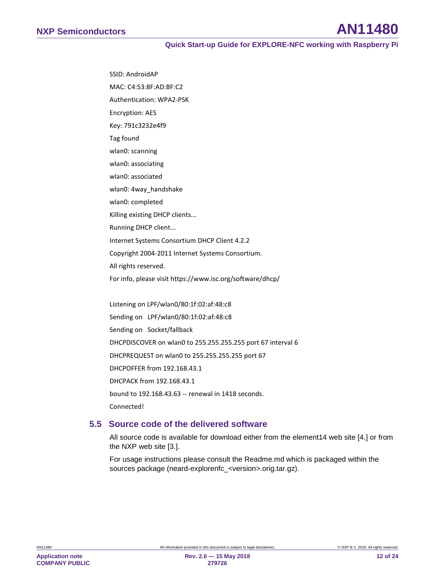SSID: AndroidAP MAC: C4:53:8F:AD:BF:C2 Authentication: WPA2-PSK Encryption: AES Key: 791c3232e4f9 Tag found wlan0: scanning wlan0: associating wlan0: associated wlan0: 4way\_handshake wlan0: completed Killing existing DHCP clients... Running DHCP client... Internet Systems Consortium DHCP Client 4.2.2 Copyright 2004-2011 Internet Systems Consortium. All rights reserved. For info, please visit https://www.isc.org/software/dhcp/ Listening on LPF/wlan0/80:1f:02:af:48:c8

Sending on LPF/wlan0/80:1f:02:af:48:c8 Sending on Socket/fallback DHCPDISCOVER on wlan0 to 255.255.255.255 port 67 interval 6 DHCPREQUEST on wlan0 to 255.255.255.255 port 67 DHCPOFFER from 192.168.43.1 DHCPACK from 192.168.43.1 bound to 192.168.43.63 -- renewal in 1418 seconds. Connected!

#### <span id="page-11-0"></span>**5.5 Source code of the delivered software**

All source code is available for download either from the element14 web site [\[4.\]](#page-20-4) or from the NXP web site [\[3.\].](#page-20-5)

For usage instructions please consult the Readme.md which is packaged within the sources package (neard-explorenfc\_<version>.orig.tar.gz).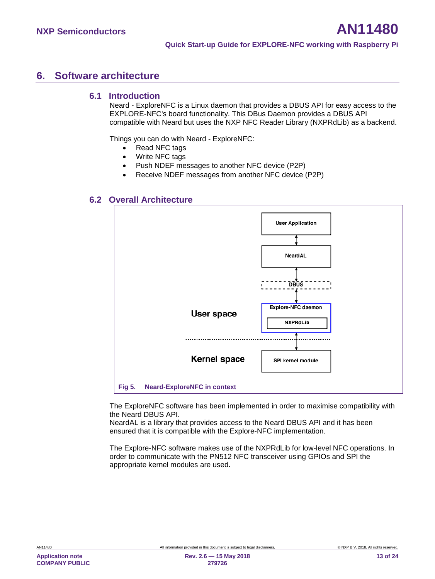## <span id="page-12-1"></span>**6. Software architecture**

#### **6.1 Introduction**

<span id="page-12-2"></span>Neard - ExploreNFC is a Linux daemon that provides a DBUS API for easy access to the EXPLORE-NFC's board functionality. This DBus Daemon provides a DBUS API compatible with Neard but uses the NXP NFC Reader Library (NXPRdLib) as a backend.

Things you can do with Neard - ExploreNFC:

- Read NFC tags
- Write NFC tags
- Push NDEF messages to another NFC device (P2P)
- Receive NDEF messages from another NFC device (P2P)

#### **6.2 Overall Architecture**

<span id="page-12-3"></span>

<span id="page-12-0"></span>The ExploreNFC software has been implemented in order to maximise compatibility with the Neard DBUS API.

NeardAL is a library that provides access to the Neard DBUS API and it has been ensured that it is compatible with the Explore-NFC implementation.

The Explore-NFC software makes use of the NXPRdLib for low-level NFC operations. In order to communicate with the PN512 NFC transceiver using GPIOs and SPI the appropriate kernel modules are used.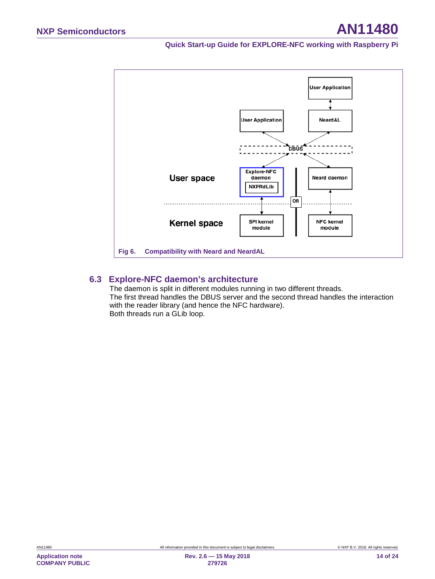

#### **6.3 Explore-NFC daemon's architecture**

<span id="page-13-1"></span><span id="page-13-0"></span>The daemon is split in different modules running in two different threads. The first thread handles the DBUS server and the second thread handles the interaction with the reader library (and hence the NFC hardware). Both threads run a GLib loop.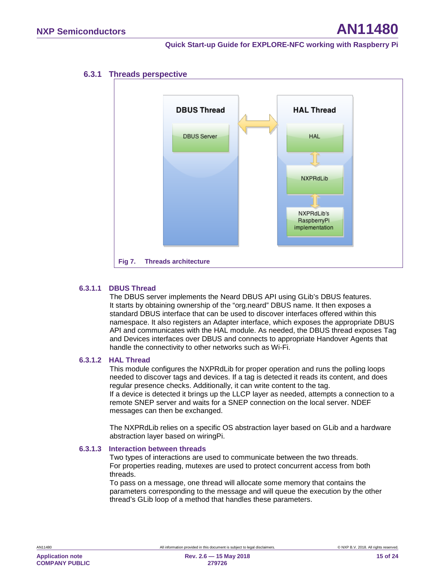<span id="page-14-1"></span>

#### **6.3.1 Threads perspective**

#### **6.3.1.1 DBUS Thread**

<span id="page-14-2"></span><span id="page-14-0"></span>The DBUS server implements the Neard DBUS API using GLib's DBUS features. It starts by obtaining ownership of the "org.neard" DBUS name. It then exposes a standard DBUS interface that can be used to discover interfaces offered within this namespace. It also registers an Adapter interface, which exposes the appropriate DBUS API and communicates with the HAL module. As needed, the DBUS thread exposes Tag and Devices interfaces over DBUS and connects to appropriate Handover Agents that handle the connectivity to other networks such as Wi-Fi.

#### **6.3.1.2 HAL Thread**

<span id="page-14-3"></span>This module configures the NXPRdLib for proper operation and runs the polling loops needed to discover tags and devices. If a tag is detected it reads its content, and does regular presence checks. Additionally, it can write content to the tag. If a device is detected it brings up the LLCP layer as needed, attempts a connection to a remote SNEP server and waits for a SNEP connection on the local server. NDEF messages can then be exchanged.

The NXPRdLib relies on a specific OS abstraction layer based on GLib and a hardware abstraction layer based on wiringPi.

#### **6.3.1.3 Interaction between threads**

<span id="page-14-4"></span>Two types of interactions are used to communicate between the two threads. For properties reading, mutexes are used to protect concurrent access from both threads.

To pass on a message, one thread will allocate some memory that contains the parameters corresponding to the message and will queue the execution by the other thread's GLib loop of a method that handles these parameters.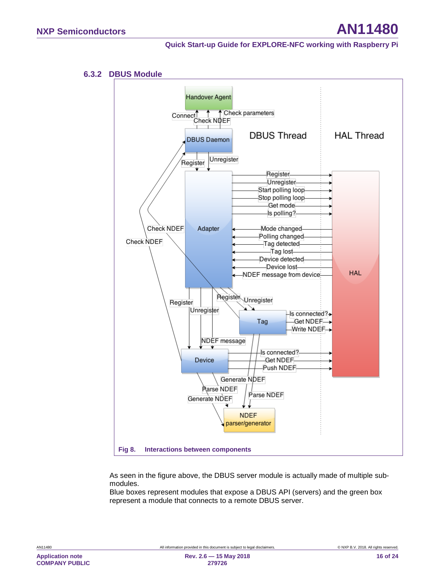#### **6.3.2 DBUS Module**

<span id="page-15-1"></span>

<span id="page-15-0"></span>As seen in the figure above, the DBUS server module is actually made of multiple submodules.

Blue boxes represent modules that expose a DBUS API (servers) and the green box represent a module that connects to a remote DBUS server.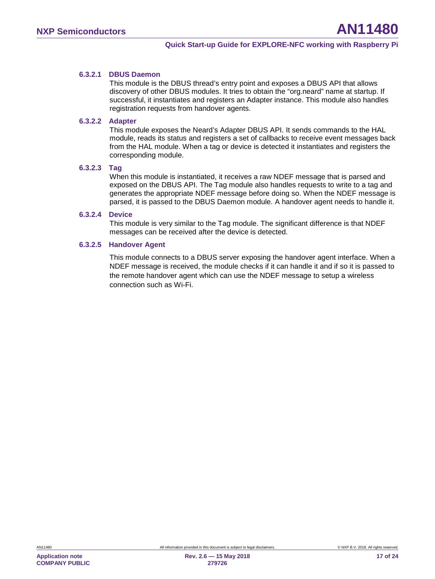#### **6.3.2.1 DBUS Daemon**

<span id="page-16-0"></span>This module is the DBUS thread's entry point and exposes a DBUS API that allows discovery of other DBUS modules. It tries to obtain the "org.neard" name at startup. If successful, it instantiates and registers an Adapter instance. This module also handles registration requests from handover agents.

#### **6.3.2.2 Adapter**

<span id="page-16-1"></span>This module exposes the Neard's Adapter DBUS API. It sends commands to the HAL module, reads its status and registers a set of callbacks to receive event messages back from the HAL module. When a tag or device is detected it instantiates and registers the corresponding module.

#### **6.3.2.3 Tag**

<span id="page-16-2"></span>When this module is instantiated, it receives a raw NDEF message that is parsed and exposed on the DBUS API. The Tag module also handles requests to write to a tag and generates the appropriate NDEF message before doing so. When the NDEF message is parsed, it is passed to the DBUS Daemon module. A handover agent needs to handle it.

#### **6.3.2.4 Device**

<span id="page-16-4"></span><span id="page-16-3"></span>This module is very similar to the Tag module. The significant difference is that NDEF messages can be received after the device is detected.

#### **6.3.2.5 Handover Agent**

This module connects to a DBUS server exposing the handover agent interface. When a NDEF message is received, the module checks if it can handle it and if so it is passed to the remote handover agent which can use the NDEF message to setup a wireless connection such as Wi-Fi.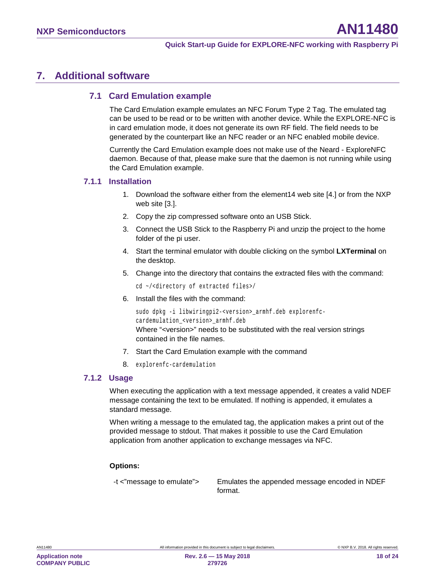## <span id="page-17-0"></span>**7. Additional software**

#### <span id="page-17-1"></span>**7.1 Card Emulation example**

The Card Emulation example emulates an NFC Forum Type 2 Tag. The emulated tag can be used to be read or to be written with another device. While the EXPLORE-NFC is in card emulation mode, it does not generate its own RF field. The field needs to be generated by the counterpart like an NFC reader or an NFC enabled mobile device.

Currently the Card Emulation example does not make use of the Neard - ExploreNFC daemon. Because of that, please make sure that the daemon is not running while using the Card Emulation example.

#### **7.1.1 Installation**

- <span id="page-17-2"></span>1. Download the software either from the element14 web site [\[4.\]](#page-20-4) or from the NXP web site [\[3.\].](#page-20-5)
- 2. Copy the zip compressed software onto an USB Stick.
- 3. Connect the USB Stick to the Raspberry Pi and unzip the project to the home folder of the pi user.
- 4. Start the terminal emulator with double clicking on the symbol **LXTerminal** on the desktop.
- 5. Change into the directory that contains the extracted files with the command:

cd ~/<directory of extracted files>/

6. Install the files with the command:

```
sudo dpkg -i libwiringpi2-<version>_armhf.deb explorenfc-
cardemulation <version> armhf.deb
Where "<version>" needs to be substituted with the real version strings 
contained in the file names.
```
- 7. Start the Card Emulation example with the command
- 8. explorenfc-cardemulation

#### **7.1.2 Usage**

<span id="page-17-3"></span>When executing the application with a text message appended, it creates a valid NDEF message containing the text to be emulated. If nothing is appended, it emulates a standard message.

When writing a message to the emulated tag, the application makes a print out of the provided message to stdout. That makes it possible to use the Card Emulation application from another application to exchange messages via NFC.

#### **Options:**

-t <"message to emulate"> Emulates the appended message encoded in NDEF format.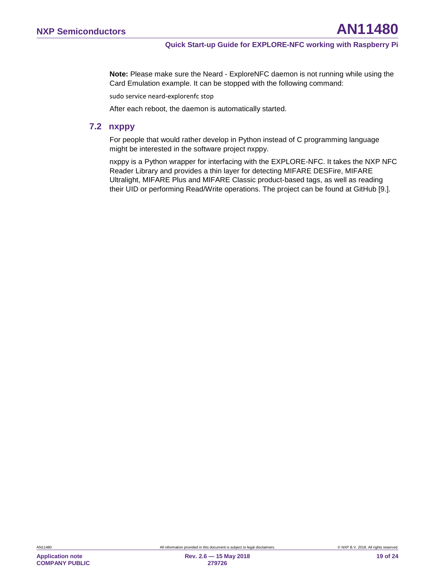**Note:** Please make sure the Neard - ExploreNFC daemon is not running while using the Card Emulation example. It can be stopped with the following command:

sudo service neard-explorenfc stop

<span id="page-18-0"></span>After each reboot, the daemon is automatically started.

#### **7.2 nxppy**

For people that would rather develop in Python instead of C programming language might be interested in the software project nxppy.

nxppy is a Python wrapper for interfacing with the EXPLORE-NFC. It takes the NXP NFC Reader Library and provides a thin layer for detecting MIFARE DESFire, MIFARE Ultralight, MIFARE Plus and MIFARE Classic product-based tags, as well as reading their UID or performing Read/Write operations. The project can be found at GitHub [\[9.\].](#page-20-7)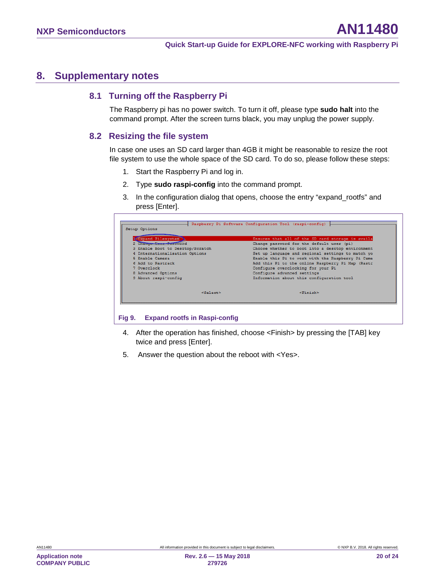## <span id="page-19-1"></span>**8. Supplementary notes**

## **8.1 Turning off the Raspberry Pi**

<span id="page-19-2"></span>The Raspberry pi has no power switch. To turn it off, please type **sudo halt** into the command prompt. After the screen turns black, you may unplug the power supply.

#### <span id="page-19-3"></span>**8.2 Resizing the file system**

In case one uses an SD card larger than 4GB it might be reasonable to resize the root file system to use the whole space of the SD card. To do so, please follow these steps:

- 1. Start the Raspberry Pi and log in.
- 2. Type **sudo raspi-config** into the command prompt.
- 3. In the configuration dialog that opens, choose the entry "expand\_rootfs" and press [Enter].

| 1 Expand Filesystem<br>2 Change User Password                                         | Ensures that all of the SD card storage is availa                                                                                                           |
|---------------------------------------------------------------------------------------|-------------------------------------------------------------------------------------------------------------------------------------------------------------|
|                                                                                       | Change password for the default user (pi)                                                                                                                   |
| 3 Enable Boot to Desktop/Scratch<br>4 Internationalisation Options<br>5 Enable Camera | Choose whether to boot into a desktop environment<br>Set up language and regional settings to match vo<br>Enable this Pi to work with the Raspberry Pi Came |
| 6 Add to Rastrack                                                                     | Add this Pi to the online Raspberry Pi Map (Rastr                                                                                                           |
| 7 Overclock                                                                           | Configure overclocking for your Pi                                                                                                                          |
| 8 Advanced Options                                                                    | Configure advanced settings                                                                                                                                 |
| 9 About raspi-config                                                                  | Information about this configuration tool                                                                                                                   |
| <select></select>                                                                     | <finish></finish>                                                                                                                                           |

- <span id="page-19-0"></span>4. After the operation has finished, choose <Finish> by pressing the [TAB] key twice and press [Enter].
- 5. Answer the question about the reboot with <Yes>.

**Application note COMPANY PUBLIC**

**279726**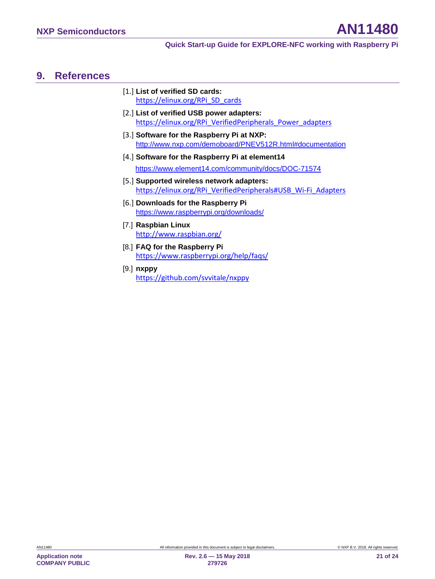## <span id="page-20-8"></span>**9. References**

- <span id="page-20-2"></span>[1.] **List of verified SD cards:** [https://elinux.org/RPi\\_SD\\_cards](https://elinux.org/RPi_SD_cards)
- <span id="page-20-6"></span>[2.] **List of verified USB power adapters:** [https://elinux.org/RPi\\_VerifiedPeripherals\\_Power\\_adapters](https://elinux.org/RPi_VerifiedPeripherals_Power_adapters)
- <span id="page-20-5"></span>[3.] **Software for the Raspberry Pi at NXP:** <http://www.nxp.com/demoboard/PNEV512R.html#documentation>
- <span id="page-20-4"></span>[4.] **Software for the Raspberry Pi at element14** <https://www.element14.com/community/docs/DOC-71574>
- [5.] **Supported wireless network adapters:** [https://elinux.org/RPi\\_VerifiedPeripherals#USB\\_Wi-Fi\\_Adapters](https://elinux.org/RPi_VerifiedPeripherals#USB_Wi-Fi_Adapters)
- <span id="page-20-3"></span>[6.] **Downloads for the Raspberry Pi** <https://www.raspberrypi.org/downloads/>
- <span id="page-20-0"></span>[7.] **Raspbian Linux** <http://www.raspbian.org/>
- <span id="page-20-1"></span>[8.] **FAQ for the Raspberry Pi** <https://www.raspberrypi.org/help/faqs/>
- <span id="page-20-7"></span>[9.] **nxppy** <https://github.com/svvitale/nxppy>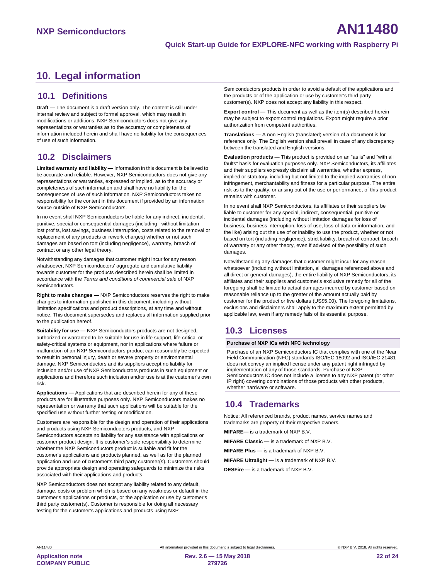# <span id="page-21-1"></span>**10. Legal information**

#### <span id="page-21-2"></span>**10.1 Definitions**

**Draft —** The document is a draft version only. The content is still under internal review and subject to formal approval, which may result in modifications or additions. NXP Semiconductors does not give any representations or warranties as to the accuracy or completeness of information included herein and shall have no liability for the consequences of use of such information.

## <span id="page-21-3"></span>**10.2 Disclaimers**

**Limited warranty and liability —** Information in this document is believed to be accurate and reliable. However, NXP Semiconductors does not give any representations or warranties, expressed or implied, as to the accuracy or completeness of such information and shall have no liability for the consequences of use of such information. NXP Semiconductors takes no responsibility for the content in this document if provided by an information source outside of NXP Semiconductors.

In no event shall NXP Semiconductors be liable for any indirect, incidental, punitive, special or consequential damages (including - without limitation lost profits, lost savings, business interruption, costs related to the removal or replacement of any products or rework charges) whether or not such damages are based on tort (including negligence), warranty, breach of contract or any other legal theory.

Notwithstanding any damages that customer might incur for any reason whatsoever, NXP Semiconductors' aggregate and cumulative liability towards customer for the products described herein shall be limited in accordance with the *Terms and conditions of commercial sale* of NXP **Semiconductors** 

**Right to make changes —** NXP Semiconductors reserves the right to make changes to information published in this document, including without limitation specifications and product descriptions, at any time and without notice. This document supersedes and replaces all information supplied prior to the publication hereof.

**Suitability for use —** NXP Semiconductors products are not designed, authorized or warranted to be suitable for use in life support, life-critical or safety-critical systems or equipment, nor in applications where failure or malfunction of an NXP Semiconductors product can reasonably be expected to result in personal injury, death or severe property or environmental damage. NXP Semiconductors and its suppliers accept no liability for inclusion and/or use of NXP Semiconductors products in such equipment or applications and therefore such inclusion and/or use is at the customer's own risk.

**Applications —** Applications that are described herein for any of these products are for illustrative purposes only. NXP Semiconductors makes no representation or warranty that such applications will be suitable for the specified use without further testing or modification.

Customers are responsible for the design and operation of their applications and products using NXP Semiconductors products, and NXP Semiconductors accepts no liability for any assistance with applications or customer product design. It is customer's sole responsibility to determine whether the NXP Semiconductors product is suitable and fit for the customer's applications and products planned, as well as for the planned application and use of customer's third party customer(s). Customers should provide appropriate design and operating safeguards to minimize the risks associated with their applications and products.

NXP Semiconductors does not accept any liability related to any default, damage, costs or problem which is based on any weakness or default in the customer's applications or products, or the application or use by customer's third party customer(s). Customer is responsible for doing all necessary testing for the customer's applications and products using NXP

Semiconductors products in order to avoid a default of the applications and the products or of the application or use by customer's third party customer(s). NXP does not accept any liability in this respect.

**Export control —** This document as well as the item(s) described herein may be subject to export control regulations. Export might require a prior authorization from competent authorities.

**Translations —** A non-English (translated) version of a document is for reference only. The English version shall prevail in case of any discrepancy between the translated and English versions.

**Evaluation products —** This product is provided on an "as is" and "with all faults" basis for evaluation purposes only. NXP Semiconductors, its affiliates and their suppliers expressly disclaim all warranties, whether express, implied or statutory, including but not limited to the implied warranties of noninfringement, merchantability and fitness for a particular purpose. The entire risk as to the quality, or arising out of the use or performance, of this product remains with customer.

In no event shall NXP Semiconductors, its affiliates or their suppliers be liable to customer for any special, indirect, consequential, punitive or incidental damages (including without limitation damages for loss of business, business interruption, loss of use, loss of data or information, and the like) arising out the use of or inability to use the product, whether or not based on tort (including negligence), strict liability, breach of contract, breach of warranty or any other theory, even if advised of the possibility of such damages.

Notwithstanding any damages that customer might incur for any reason whatsoever (including without limitation, all damages referenced above and all direct or general damages), the entire liability of NXP Semiconductors, its affiliates and their suppliers and customer's exclusive remedy for all of the foregoing shall be limited to actual damages incurred by customer based on reasonable reliance up to the greater of the amount actually paid by customer for the product or five dollars (US\$5.00). The foregoing limitations, exclusions and disclaimers shall apply to the maximum extent permitted by applicable law, even if any remedy fails of its essential purpose.

## <span id="page-21-0"></span>**10.3 Licenses**

#### **Purchase of NXP ICs with NFC technology**

Purchase of an NXP Semiconductors IC that complies with one of the Near Field Communication (NFC) standards ISO/IEC 18092 and ISO/IEC 21481 does not convey an implied license under any patent right infringed by implementation of any of those standards. Purchase of NXP Semiconductors IC does not include a license to any NXP patent (or other IP right) covering combinations of those products with other products, whether hardware or software.

## <span id="page-21-4"></span>**10.4 Trademarks**

Notice: All referenced brands, product names, service names and trademarks are property of their respective owners.

**MIFARE—** is a trademark of NXP B.V.

**MIFARE Classic —** is a trademark of NXP B.V.

**MIFARE Plus —** is a trademark of NXP B.V.

**MIFARE Ultralight —** is a trademark of NXP B.V.

**DESFire —** is a trademark of NXP B.V.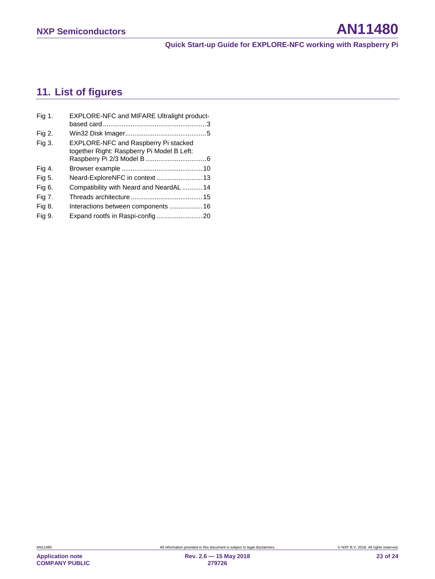# <span id="page-22-0"></span>**11. List of figures**

| Fig 1. | EXPLORE-NFC and MIFARE Ultralight product-  |  |
|--------|---------------------------------------------|--|
|        |                                             |  |
| Fig 2. |                                             |  |
| Fig 3. | <b>EXPLORE-NFC and Raspberry Pi stacked</b> |  |
|        | together Right: Raspberry Pi Model B Left:  |  |
|        |                                             |  |
| Fig 4. |                                             |  |
| Fig 5. |                                             |  |
| Fig 6. | Compatibility with Neard and NeardAL  14    |  |
| Fig 7. |                                             |  |
| Fig 8. | Interactions between components 16          |  |
| Fig 9. |                                             |  |